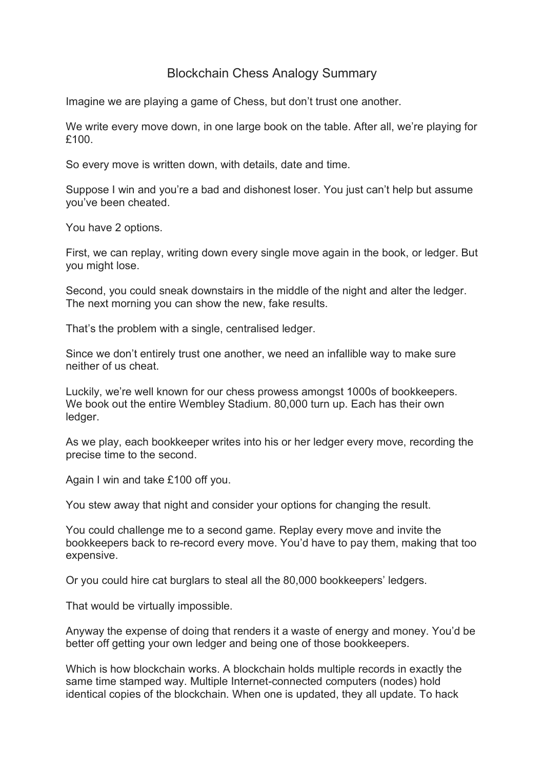## Blockchain Chess Analogy Summary

Imagine we are playing a game of Chess, but don't trust one another.

We write every move down, in one large book on the table. After all, we're playing for £100.

So every move is written down, with details, date and time.

Suppose I win and you're a bad and dishonest loser. You just can't help but assume you've been cheated.

You have 2 options.

First, we can replay, writing down every single move again in the book, or ledger. But you might lose.

Second, you could sneak downstairs in the middle of the night and alter the ledger. The next morning you can show the new, fake results.

That's the problem with a single, centralised ledger.

Since we don't entirely trust one another, we need an infallible way to make sure neither of us cheat.

Luckily, we're well known for our chess prowess amongst 1000s of bookkeepers. We book out the entire Wembley Stadium. 80,000 turn up. Each has their own ledger.

As we play, each bookkeeper writes into his or her ledger every move, recording the precise time to the second.

Again I win and take £100 off you.

You stew away that night and consider your options for changing the result.

You could challenge me to a second game. Replay every move and invite the bookkeepers back to re-record every move. You'd have to pay them, making that too expensive.

Or you could hire cat burglars to steal all the 80,000 bookkeepers' ledgers.

That would be virtually impossible.

Anyway the expense of doing that renders it a waste of energy and money. You'd be better off getting your own ledger and being one of those bookkeepers.

Which is how blockchain works. A blockchain holds multiple records in exactly the same time stamped way. Multiple Internet-connected computers (nodes) hold identical copies of the blockchain. When one is updated, they all update. To hack